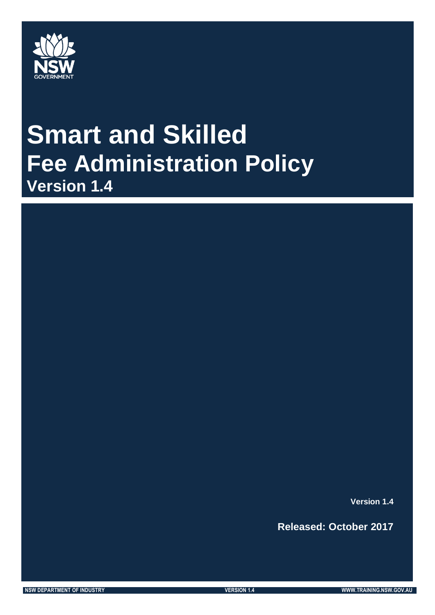

## **Smart and Skilled Fee Administration Policy Version 1.4**

**Version 1.4**

**Released: October 2017**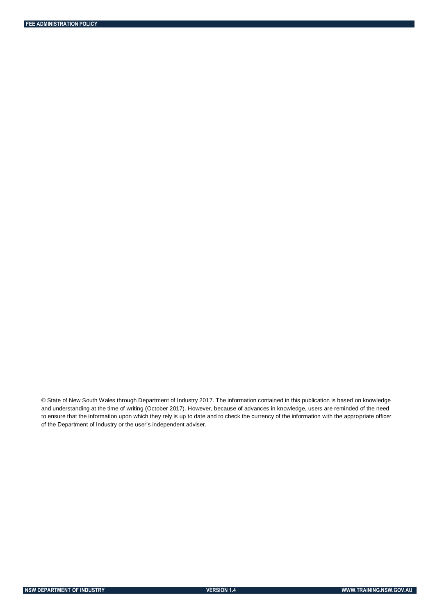© State of New South Wales through Department of Industry 2017. The information contained in this publication is based on knowledge and understanding at the time of writing (October 2017). However, because of advances in knowledge, users are reminded of the need to ensure that the information upon which they rely is up to date and to check the currency of the information with the appropriate officer of the Department of Industry or the user's independent adviser.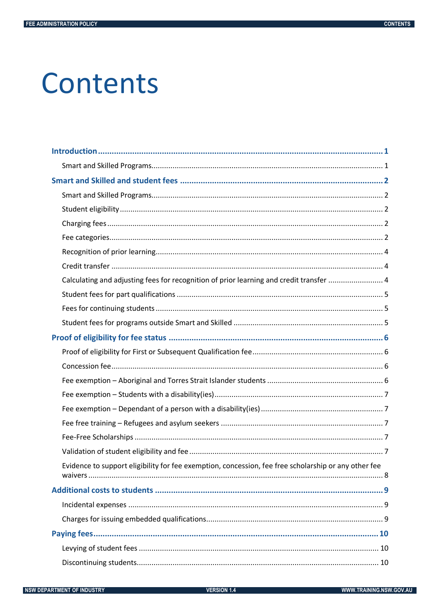## Contents

| Calculating and adjusting fees for recognition of prior learning and credit transfer  4              |
|------------------------------------------------------------------------------------------------------|
|                                                                                                      |
|                                                                                                      |
|                                                                                                      |
|                                                                                                      |
|                                                                                                      |
|                                                                                                      |
|                                                                                                      |
|                                                                                                      |
|                                                                                                      |
|                                                                                                      |
|                                                                                                      |
|                                                                                                      |
| Evidence to support eligibility for fee exemption, concession, fee free scholarship or any other fee |
|                                                                                                      |
|                                                                                                      |
|                                                                                                      |
|                                                                                                      |
|                                                                                                      |
|                                                                                                      |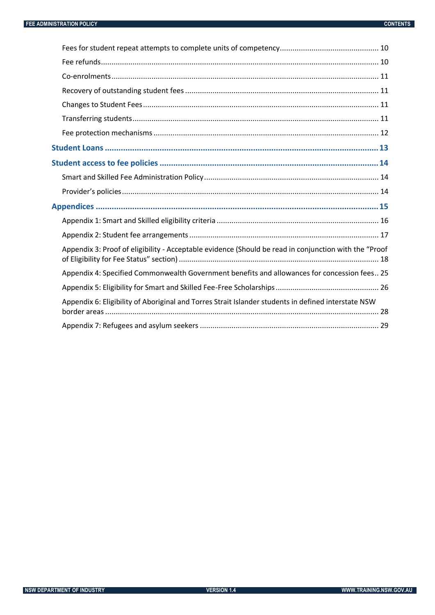| Appendix 3: Proof of eligibility - Acceptable evidence (Should be read in conjunction with the "Proof |
|-------------------------------------------------------------------------------------------------------|
| Appendix 4: Specified Commonwealth Government benefits and allowances for concession fees 25          |
|                                                                                                       |
| Appendix 6: Eligibility of Aboriginal and Torres Strait Islander students in defined interstate NSW   |
|                                                                                                       |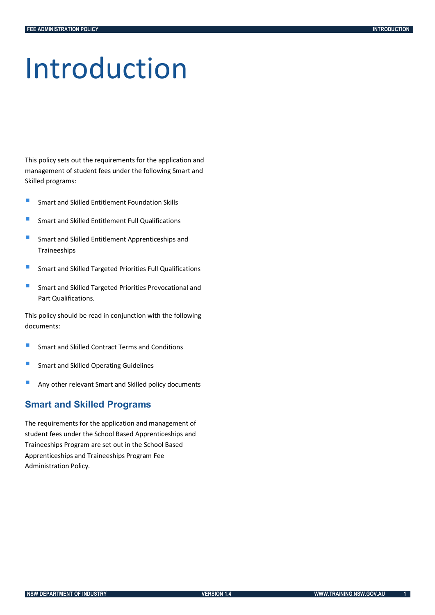## <span id="page-4-0"></span>Introduction

This policy sets out the requirements for the application and management of student fees under the following Smart and Skilled programs:

- **Smart and Skilled Entitlement Foundation Skills**
- **Smart and Skilled Entitlement Full Qualifications**
- **Smart and Skilled Entitlement Apprenticeships and** Traineeships
- **Smart and Skilled Targeted Priorities Full Qualifications**
- **Smart and Skilled Targeted Priorities Prevocational and** Part Qualifications.

This policy should be read in conjunction with the following documents:

- **Smart and Skilled Contract Terms and Conditions**
- **Smart and Skilled Operating Guidelines**
- **Any other relevant Smart and Skilled policy documents**

#### <span id="page-4-1"></span>**Smart and Skilled Programs**

The requirements for the application and management of student fees under the School Based Apprenticeships and Traineeships Program are set out in the School Based Apprenticeships and Traineeships Program Fee Administration Policy.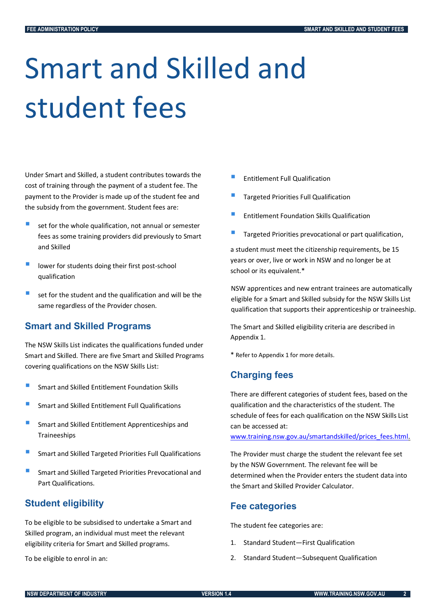## <span id="page-5-0"></span>Smart and Skilled and student fees

Under Smart and Skilled, a student contributes towards the cost of training through the payment of a student fee. The payment to the Provider is made up of the student fee and the subsidy from the government. Student fees are:

- set for the whole qualification, not annual or semester fees as some training providers did previously to Smart and Skilled
- lower for students doing their first post-school qualification
- set for the student and the qualification and will be the same regardless of the Provider chosen.

## <span id="page-5-1"></span>**Smart and Skilled Programs**

The NSW Skills List indicates the qualifications funded under Smart and Skilled. There are five Smart and Skilled Programs covering qualifications on the NSW Skills List:

- **Smart and Skilled Entitlement Foundation Skills**
- Smart and Skilled Entitlement Full Qualifications
- Smart and Skilled Entitlement Apprenticeships and Traineeships
- Smart and Skilled Targeted Priorities Full Qualifications
- Smart and Skilled Targeted Priorities Prevocational and Part Qualifications.

## <span id="page-5-2"></span>**Student eligibility**

To be eligible to be subsidised to undertake a Smart and Skilled program, an individual must meet the relevant eligibility criteria for Smart and Skilled programs.

To be eligible to enrol in an:

- Entitlement Full Qualification
- Targeted Priorities Full Qualification
- Entitlement Foundation Skills Qualification
- Targeted Priorities prevocational or part qualification,

a student must meet the citizenship requirements, be 15 years or over, live or work in NSW and no longer be at school or its equivalent.\*

NSW apprentices and new entrant trainees are automatically eligible for a Smart and Skilled subsidy for the NSW Skills List qualification that supports their apprenticeship or traineeship.

The Smart and Skilled eligibility criteria are described in Appendix 1.

\* Refer to Appendix 1 for more details.

#### <span id="page-5-3"></span>**Charging fees**

There are different categories of student fees, based on the qualification and the characteristics of the student. The schedule of fees for each qualification on the NSW Skills List can be accessed at:

[www.training.nsw.gov.au/smartandskilled/prices\\_fees.html.](http://www.training.nsw.gov.au/smartandskilled/prices_fees.html)

The Provider must charge the student the relevant fee set by the NSW Government. The relevant fee will be determined when the Provider enters the student data into the Smart and Skilled Provider Calculator.

#### <span id="page-5-4"></span>**Fee categories**

The student fee categories are:

- 1. Standard Student—First Qualification
- 2. Standard Student—Subsequent Qualification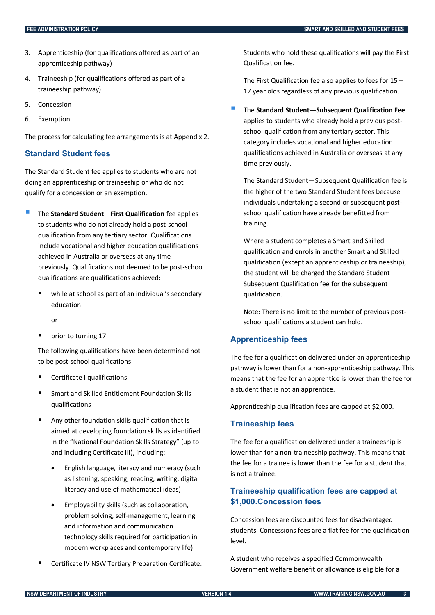- 3. Apprenticeship (for qualifications offered as part of an apprenticeship pathway)
- 4. Traineeship (for qualifications offered as part of a traineeship pathway)
- 5. Concession
- 6. Exemption

The process for calculating fee arrangements is at Appendix 2.

#### **Standard Student fees**

The Standard Student fee applies to students who are not doing an apprenticeship or traineeship or who do not qualify for a concession or an exemption.

- The **Standard Student—First Qualification** fee applies to students who do not already hold a post-school qualification from any tertiary sector. Qualifications include vocational and higher education qualifications achieved in Australia or overseas at any time previously. Qualifications not deemed to be post-school qualifications are qualifications achieved:
	- while at school as part of an individual's secondary education
		- or
	- prior to turning 17

The following qualifications have been determined not to be post-school qualifications:

- Certificate I qualifications
- Smart and Skilled Entitlement Foundation Skills qualifications
- Any other foundation skills qualification that is aimed at developing foundation skills as identified in the "National Foundation Skills Strategy" (up to and including Certificate III), including:
	- English language, literacy and numeracy (such as listening, speaking, reading, writing, digital literacy and use of mathematical ideas)
	- Employability skills (such as collaboration, problem solving, self-management, learning and information and communication technology skills required for participation in modern workplaces and contemporary life)
- Certificate IV NSW Tertiary Preparation Certificate.

Students who hold these qualifications will pay the First Qualification fee.

The First Qualification fee also applies to fees for 15 – 17 year olds regardless of any previous qualification.

 The **Standard Student—Subsequent Qualification Fee** applies to students who already hold a previous postschool qualification from any tertiary sector. This category includes vocational and higher education qualifications achieved in Australia or overseas at any time previously.

The Standard Student—Subsequent Qualification fee is the higher of the two Standard Student fees because individuals undertaking a second or subsequent postschool qualification have already benefitted from training.

Where a student completes a Smart and Skilled qualification and enrols in another Smart and Skilled qualification (except an apprenticeship or traineeship), the student will be charged the Standard Student— Subsequent Qualification fee for the subsequent qualification.

Note: There is no limit to the number of previous postschool qualifications a student can hold.

#### **Apprenticeship fees**

The fee for a qualification delivered under an apprenticeship pathway is lower than for a non-apprenticeship pathway. This means that the fee for an apprentice is lower than the fee for a student that is not an apprentice.

Apprenticeship qualification fees are capped at \$2,000.

#### **Traineeship fees**

The fee for a qualification delivered under a traineeship is lower than for a non-traineeship pathway. This means that the fee for a trainee is lower than the fee for a student that is not a trainee.

## **Traineeship qualification fees are capped at \$1,000.Concession fees**

Concession fees are discounted fees for disadvantaged students. Concessions fees are a flat fee for the qualification level.

A student who receives a specified Commonwealth Government welfare benefit or allowance is eligible for a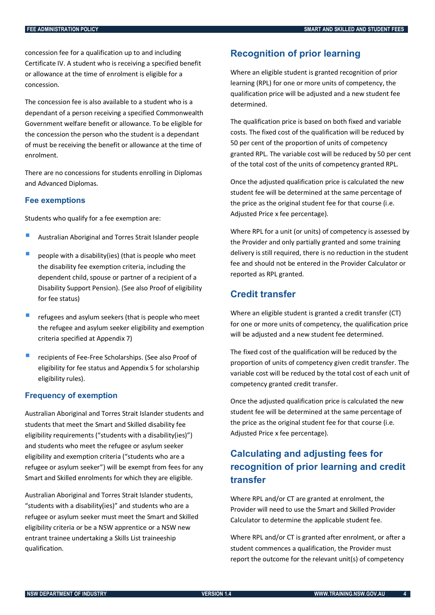concession fee for a qualification up to and including Certificate IV. A student who is receiving a specified benefit or allowance at the time of enrolment is eligible for a concession.

The concession fee is also available to a student who is a dependant of a person receiving a specified Commonwealth Government welfare benefit or allowance. To be eligible for the concession the person who the student is a dependant of must be receiving the benefit or allowance at the time of enrolment.

There are no concessions for students enrolling in Diplomas and Advanced Diplomas.

#### **Fee exemptions**

Students who qualify for a fee exemption are:

- Australian Aboriginal and Torres Strait Islander people
- people with a disability(ies) (that is people who meet the disability fee exemption criteria, including the dependent child, spouse or partner of a recipient of a Disability Support Pension). (See also Proof of eligibility for fee status)
- refugees and asylum seekers (that is people who meet the refugee and asylum seeker eligibility and exemption criteria specified at Appendix 7)
- recipients of Fee-Free Scholarships. (See also Proof of eligibility for fee status and Appendix 5 for scholarship eligibility rules).

#### **Frequency of exemption**

Australian Aboriginal and Torres Strait Islander students and students that meet the Smart and Skilled disability fee eligibility requirements ("students with a disability(ies)") and students who meet the refugee or asylum seeker eligibility and exemption criteria ("students who are a refugee or asylum seeker") will be exempt from fees for any Smart and Skilled enrolments for which they are eligible.

Australian Aboriginal and Torres Strait Islander students, "students with a disability(ies)" and students who are a refugee or asylum seeker must meet the Smart and Skilled eligibility criteria or be a NSW apprentice or a NSW new entrant trainee undertaking a Skills List traineeship qualification.

## <span id="page-7-0"></span>**Recognition of prior learning**

Where an eligible student is granted recognition of prior learning (RPL) for one or more units of competency, the qualification price will be adjusted and a new student fee determined.

The qualification price is based on both fixed and variable costs. The fixed cost of the qualification will be reduced by 50 per cent of the proportion of units of competency granted RPL. The variable cost will be reduced by 50 per cent of the total cost of the units of competency granted RPL.

Once the adjusted qualification price is calculated the new student fee will be determined at the same percentage of the price as the original student fee for that course (i.e. Adjusted Price x fee percentage).

Where RPL for a unit (or units) of competency is assessed by the Provider and only partially granted and some training delivery is still required, there is no reduction in the student fee and should not be entered in the Provider Calculator or reported as RPL granted.

## <span id="page-7-1"></span>**Credit transfer**

Where an eligible student is granted a credit transfer (CT) for one or more units of competency, the qualification price will be adjusted and a new student fee determined.

The fixed cost of the qualification will be reduced by the proportion of units of competency given credit transfer. The variable cost will be reduced by the total cost of each unit of competency granted credit transfer.

Once the adjusted qualification price is calculated the new student fee will be determined at the same percentage of the price as the original student fee for that course (i.e. Adjusted Price x fee percentage).

## <span id="page-7-2"></span>**Calculating and adjusting fees for recognition of prior learning and credit transfer**

Where RPL and/or CT are granted at enrolment, the Provider will need to use the Smart and Skilled Provider Calculator to determine the applicable student fee.

Where RPL and/or CT is granted after enrolment, or after a student commences a qualification, the Provider must report the outcome for the relevant unit(s) of competency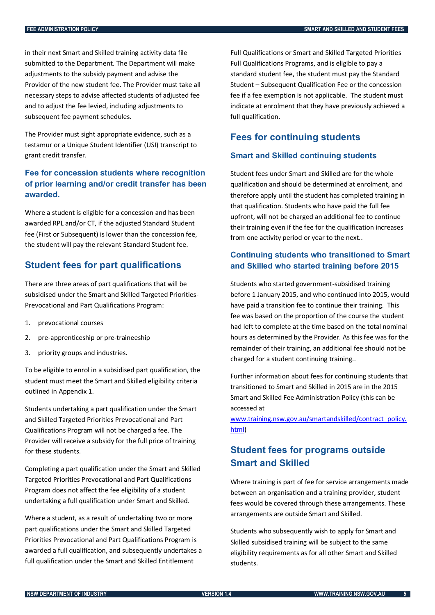in their next Smart and Skilled training activity data file submitted to the Department. The Department will make adjustments to the subsidy payment and advise the Provider of the new student fee. The Provider must take all necessary steps to advise affected students of adjusted fee and to adjust the fee levied, including adjustments to subsequent fee payment schedules.

The Provider must sight appropriate evidence, such as a testamur or a Unique Student Identifier (USI) transcript to grant credit transfer.

## **Fee for concession students where recognition of prior learning and/or credit transfer has been awarded.**

Where a student is eligible for a concession and has been awarded RPL and/or CT, if the adjusted Standard Student fee (First or Subsequent) is lower than the concession fee, the student will pay the relevant Standard Student fee.

## <span id="page-8-0"></span>**Student fees for part qualifications**

There are three areas of part qualifications that will be subsidised under the Smart and Skilled Targeted Priorities-Prevocational and Part Qualifications Program:

- 1. prevocational courses
- 2. pre-apprenticeship or pre-traineeship
- 3. priority groups and industries.

To be eligible to enrol in a subsidised part qualification, the student must meet the Smart and Skilled eligibility criteria outlined in Appendix 1.

Students undertaking a part qualification under the Smart and Skilled Targeted Priorities Prevocational and Part Qualifications Program will not be charged a fee. The Provider will receive a subsidy for the full price of training for these students.

Completing a part qualification under the Smart and Skilled Targeted Priorities Prevocational and Part Qualifications Program does not affect the fee eligibility of a student undertaking a full qualification under Smart and Skilled.

Where a student, as a result of undertaking two or more part qualifications under the Smart and Skilled Targeted Priorities Prevocational and Part Qualifications Program is awarded a full qualification, and subsequently undertakes a full qualification under the Smart and Skilled Entitlement

Full Qualifications or Smart and Skilled Targeted Priorities Full Qualifications Programs, and is eligible to pay a standard student fee, the student must pay the Standard Student – Subsequent Qualification Fee or the concession fee if a fee exemption is not applicable. The student must indicate at enrolment that they have previously achieved a full qualification.

### <span id="page-8-1"></span>**Fees for continuing students**

#### **Smart and Skilled continuing students**

Student fees under Smart and Skilled are for the whole qualification and should be determined at enrolment, and therefore apply until the student has completed training in that qualification. Students who have paid the full fee upfront, will not be charged an additional fee to continue their training even if the fee for the qualification increases from one activity period or year to the next..

#### **Continuing students who transitioned to Smart and Skilled who started training before 2015**

Students who started government-subsidised training before 1 January 2015, and who continued into 2015, would have paid a transition fee to continue their training. This fee was based on the proportion of the course the student had left to complete at the time based on the total nominal hours as determined by the Provider. As this fee was for the remainder of their training, an additional fee should not be charged for a student continuing training..

Further information about fees for continuing students that transitioned to Smart and Skilled in 2015 are in the 2015 Smart and Skilled Fee Administration Policy (this can be accessed at

[www.training.nsw.gov.au/smartandskilled/contract\\_policy.](https://www.training.nsw.gov.au/smartandskilled/contract_policy.html) [html\)](https://www.training.nsw.gov.au/smartandskilled/contract_policy.html)

## <span id="page-8-2"></span>**Student fees for programs outside Smart and Skilled**

Where training is part of fee for service arrangements made between an organisation and a training provider, student fees would be covered through these arrangements. These arrangements are outside Smart and Skilled.

Students who subsequently wish to apply for Smart and Skilled subsidised training will be subject to the same eligibility requirements as for all other Smart and Skilled students.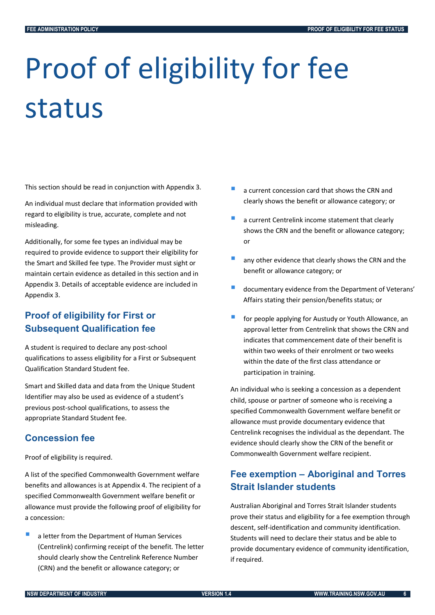# <span id="page-9-0"></span>Proof of eligibility for fee status

This section should be read in conjunction with Appendix 3.

An individual must declare that information provided with regard to eligibility is true, accurate, complete and not misleading.

Additionally, for some fee types an individual may be required to provide evidence to support their eligibility for the Smart and Skilled fee type. The Provider must sight or maintain certain evidence as detailed in this section and in Appendix 3. Details of acceptable evidence are included in Appendix 3.

## <span id="page-9-1"></span>**Proof of eligibility for First or Subsequent Qualification fee**

A student is required to declare any post-school qualifications to assess eligibility for a First or Subsequent Qualification Standard Student fee.

Smart and Skilled data and data from the Unique Student Identifier may also be used as evidence of a student's previous post-school qualifications, to assess the appropriate Standard Student fee.

## <span id="page-9-2"></span>**Concession fee**

Proof of eligibility is required.

A list of the specified Commonwealth Government welfare benefits and allowances is at Appendix 4. The recipient of a specified Commonwealth Government welfare benefit or allowance must provide the following proof of eligibility for a concession:

 a letter from the Department of Human Services (Centrelink) confirming receipt of the benefit. The letter should clearly show the Centrelink Reference Number (CRN) and the benefit or allowance category; or

- a current concession card that shows the CRN and clearly shows the benefit or allowance category; or
- a current Centrelink income statement that clearly shows the CRN and the benefit or allowance category; or
- any other evidence that clearly shows the CRN and the benefit or allowance category; or
- documentary evidence from the Department of Veterans' Affairs stating their pension/benefits status; or
- for people applying for Austudy or Youth Allowance, an approval letter from Centrelink that shows the CRN and indicates that commencement date of their benefit is within two weeks of their enrolment or two weeks within the date of the first class attendance or participation in training.

An individual who is seeking a concession as a dependent child, spouse or partner of someone who is receiving a specified Commonwealth Government welfare benefit or allowance must provide documentary evidence that Centrelink recognises the individual as the dependant. The evidence should clearly show the CRN of the benefit or Commonwealth Government welfare recipient.

## <span id="page-9-3"></span>**Fee exemption – Aboriginal and Torres Strait Islander students**

Australian Aboriginal and Torres Strait Islander students prove their status and eligibility for a fee exemption through descent, self-identification and community identification. Students will need to declare their status and be able to provide documentary evidence of community identification, if required.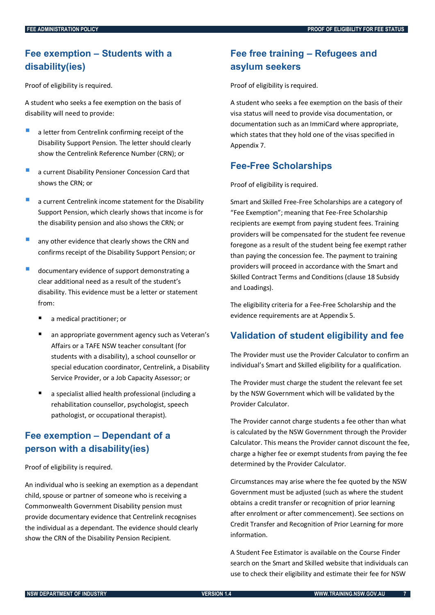## <span id="page-10-0"></span>**Fee exemption – Students with a disability(ies)**

Proof of eligibility is required.

A student who seeks a fee exemption on the basis of disability will need to provide:

- a letter from Centrelink confirming receipt of the Disability Support Pension. The letter should clearly show the Centrelink Reference Number (CRN); or
- a current Disability Pensioner Concession Card that shows the CRN; or
- a current Centrelink income statement for the Disability Support Pension, which clearly shows that income is for the disability pension and also shows the CRN; or
- any other evidence that clearly shows the CRN and confirms receipt of the Disability Support Pension; or
- documentary evidence of support demonstrating a clear additional need as a result of the student's disability. This evidence must be a letter or statement from:
	- a medical practitioner; or
	- an appropriate government agency such as Veteran's Affairs or a TAFE NSW teacher consultant (for students with a disability), a school counsellor or special education coordinator, Centrelink, a Disability Service Provider, or a Job Capacity Assessor; or
	- a specialist allied health professional (including a rehabilitation counsellor, psychologist, speech pathologist, or occupational therapist).

## <span id="page-10-1"></span>**Fee exemption – Dependant of a person with a disability(ies)**

Proof of eligibility is required.

An individual who is seeking an exemption as a dependant child, spouse or partner of someone who is receiving a Commonwealth Government Disability pension must provide documentary evidence that Centrelink recognises the individual as a dependant. The evidence should clearly show the CRN of the Disability Pension Recipient.

## <span id="page-10-2"></span>**Fee free training – Refugees and asylum seekers**

Proof of eligibility is required.

A student who seeks a fee exemption on the basis of their visa status will need to provide visa documentation, or documentation such as an ImmiCard where appropriate, which states that they hold one of the visas specified in Appendix 7.

## <span id="page-10-3"></span>**Fee-Free Scholarships**

Proof of eligibility is required.

Smart and Skilled Free-Free Scholarships are a category of "Fee Exemption"; meaning that Fee-Free Scholarship recipients are exempt from paying student fees. Training providers will be compensated for the student fee revenue foregone as a result of the student being fee exempt rather than paying the concession fee. The payment to training providers will proceed in accordance with the Smart and Skilled Contract Terms and Conditions (clause 18 Subsidy and Loadings).

The eligibility criteria for a Fee-Free Scholarship and the evidence requirements are at Appendix 5.

## <span id="page-10-4"></span>**Validation of student eligibility and fee**

The Provider must use the Provider Calculator to confirm an individual's Smart and Skilled eligibility for a qualification.

The Provider must charge the student the relevant fee set by the NSW Government which will be validated by the Provider Calculator.

The Provider cannot charge students a fee other than what is calculated by the NSW Government through the Provider Calculator. This means the Provider cannot discount the fee, charge a higher fee or exempt students from paying the fee determined by the Provider Calculator.

Circumstances may arise where the fee quoted by the NSW Government must be adjusted (such as where the student obtains a credit transfer or recognition of prior learning after enrolment or after commencement). See sections on Credit Transfer and Recognition of Prior Learning for more information.

A Student Fee Estimator is available on the Course Finder search on the Smart and Skilled website that individuals can use to check their eligibility and estimate their fee for NSW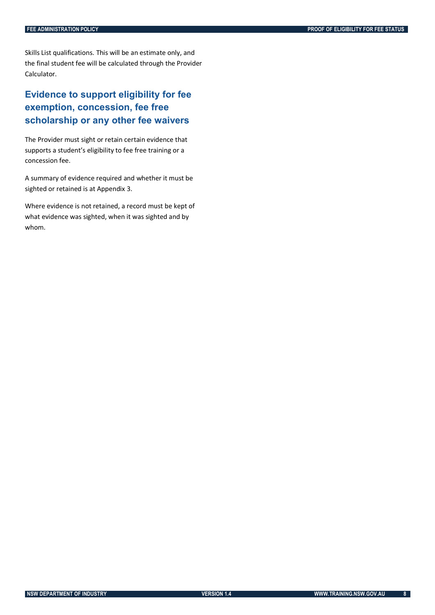Skills List qualifications. This will be an estimate only, and the final student fee will be calculated through the Provider Calculator.

## <span id="page-11-0"></span>**Evidence to support eligibility for fee exemption, concession, fee free scholarship or any other fee waivers**

The Provider must sight or retain certain evidence that supports a student's eligibility to fee free training or a concession fee.

A summary of evidence required and whether it must be sighted or retained is at Appendix 3.

Where evidence is not retained, a record must be kept of what evidence was sighted, when it was sighted and by whom.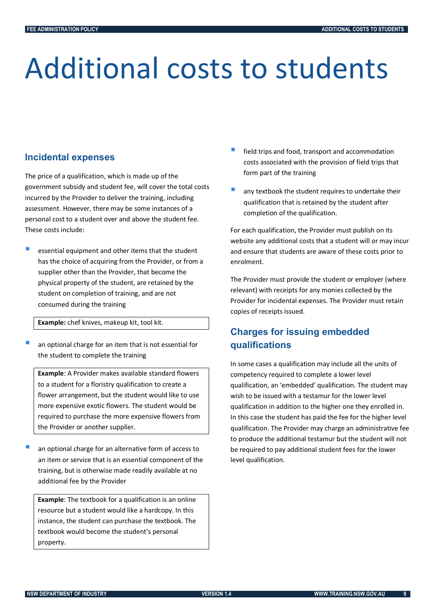## <span id="page-12-0"></span>Additional costs to students

## <span id="page-12-1"></span>**Incidental expenses**

The price of a qualification, which is made up of the government subsidy and student fee, will cover the total costs incurred by the Provider to deliver the training, including assessment. However, there may be some instances of a personal cost to a student over and above the student fee. These costs include:

 essential equipment and other items that the student has the choice of acquiring from the Provider, or from a supplier other than the Provider, that become the physical property of the student, are retained by the student on completion of training, and are not consumed during the training

**Example:** chef knives, makeup kit, tool kit.

 an optional charge for an item that is not essential for the student to complete the training

**Example**: A Provider makes available standard flowers to a student for a floristry qualification to create a flower arrangement, but the student would like to use more expensive exotic flowers. The student would be required to purchase the more expensive flowers from the Provider or another supplier.

 an optional charge for an alternative form of access to an item or service that is an essential component of the training, but is otherwise made readily available at no additional fee by the Provider

**Example**: The textbook for a qualification is an online resource but a student would like a hardcopy. In this instance, the student can purchase the textbook. The textbook would become the student's personal property.

- field trips and food, transport and accommodation costs associated with the provision of field trips that form part of the training
- any textbook the student requires to undertake their qualification that is retained by the student after completion of the qualification.

For each qualification, the Provider must publish on its website any additional costs that a student will or may incur and ensure that students are aware of these costs prior to enrolment.

The Provider must provide the student or employer (where relevant) with receipts for any monies collected by the Provider for incidental expenses. The Provider must retain copies of receipts issued.

## <span id="page-12-2"></span>**Charges for issuing embedded qualifications**

In some cases a qualification may include all the units of competency required to complete a lower level qualification, an 'embedded' qualification. The student may wish to be issued with a testamur for the lower level qualification in addition to the higher one they enrolled in. In this case the student has paid the fee for the higher level qualification. The Provider may charge an administrative fee to produce the additional testamur but the student will not be required to pay additional student fees for the lower level qualification.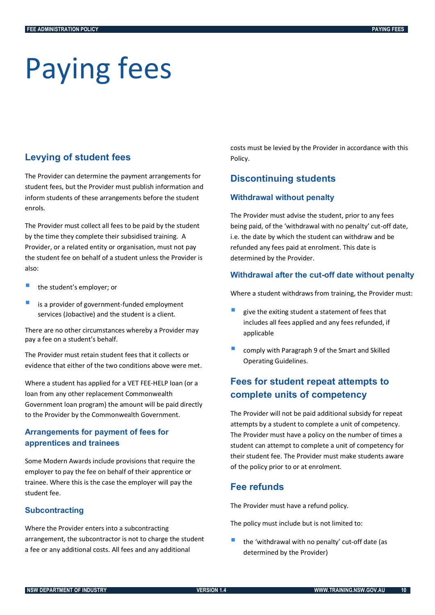# <span id="page-13-0"></span>Paying fees

## <span id="page-13-1"></span>**Levying of student fees**

The Provider can determine the payment arrangements for student fees, but the Provider must publish information and inform students of these arrangements before the student enrols.

The Provider must collect all fees to be paid by the student by the time they complete their subsidised training. A Provider, or a related entity or organisation, must not pay the student fee on behalf of a student unless the Provider is also:

- the student's employer; or
- is a provider of government-funded employment services (Jobactive) and the student is a client.

There are no other circumstances whereby a Provider may pay a fee on a student's behalf.

The Provider must retain student fees that it collects or evidence that either of the two conditions above were met.

Where a student has applied for a VET FEE-HELP loan (or a loan from any other replacement Commonwealth Government loan program) the amount will be paid directly to the Provider by the Commonwealth Government.

#### **Arrangements for payment of fees for apprentices and trainees**

Some Modern Awards include provisions that require the employer to pay the fee on behalf of their apprentice or trainee. Where this is the case the employer will pay the student fee.

#### **Subcontracting**

Where the Provider enters into a subcontracting arrangement, the subcontractor is not to charge the student a fee or any additional costs. All fees and any additional

costs must be levied by the Provider in accordance with this Policy.

## <span id="page-13-2"></span>**Discontinuing students**

#### **Withdrawal without penalty**

The Provider must advise the student, prior to any fees being paid, of the 'withdrawal with no penalty' cut-off date, i.e. the date by which the student can withdraw and be refunded any fees paid at enrolment. This date is determined by the Provider.

#### **Withdrawal after the cut-off date without penalty**

Where a student withdraws from training, the Provider must:

- give the exiting student a statement of fees that includes all fees applied and any fees refunded, if applicable
- comply with Paragraph <sup>9</sup> of the Smart and Skilled Operating Guidelines.

## <span id="page-13-3"></span>**Fees for student repeat attempts to complete units of competency**

The Provider will not be paid additional subsidy for repeat attempts by a student to complete a unit of competency. The Provider must have a policy on the number of times a student can attempt to complete a unit of competency for their student fee. The Provider must make students aware of the policy prior to or at enrolment.

## <span id="page-13-4"></span>**Fee refunds**

The Provider must have a refund policy.

The policy must include but is not limited to:

 the 'withdrawal with no penalty' cut-off date (as determined by the Provider)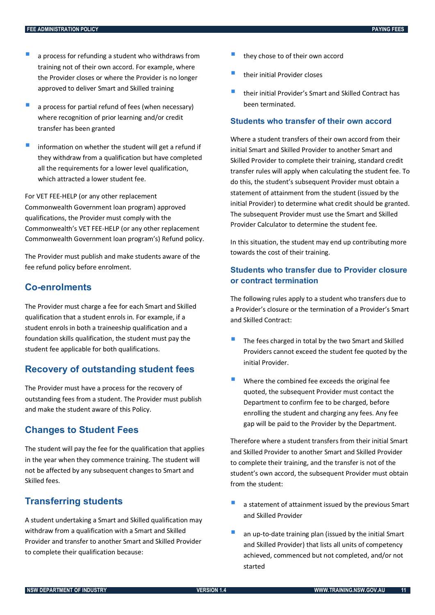- <sup>a</sup> process for refunding a student who withdraws from training not of their own accord. For example, where the Provider closes or where the Provider is no longer approved to deliver Smart and Skilled training
- a process for partial refund of fees (when necessary) where recognition of prior learning and/or credit transfer has been granted
- information on whether the student will get a refund if they withdraw from a qualification but have completed all the requirements for a lower level qualification, which attracted a lower student fee.

For VET FEE-HELP (or any other replacement Commonwealth Government loan program) approved qualifications, the Provider must comply with the Commonwealth's VET FEE-HELP (or any other replacement Commonwealth Government loan program's) Refund policy.

The Provider must publish and make students aware of the fee refund policy before enrolment.

#### <span id="page-14-0"></span>**Co-enrolments**

The Provider must charge a fee for each Smart and Skilled qualification that a student enrols in. For example, if a student enrols in both a traineeship qualification and a foundation skills qualification, the student must pay the student fee applicable for both qualifications.

#### <span id="page-14-1"></span>**Recovery of outstanding student fees**

The Provider must have a process for the recovery of outstanding fees from a student. The Provider must publish and make the student aware of this Policy.

#### <span id="page-14-2"></span>**Changes to Student Fees**

The student will pay the fee for the qualification that applies in the year when they commence training. The student will not be affected by any subsequent changes to Smart and Skilled fees.

### <span id="page-14-3"></span>**Transferring students**

A student undertaking a Smart and Skilled qualification may withdraw from a qualification with a Smart and Skilled Provider and transfer to another Smart and Skilled Provider to complete their qualification because:

- they chose to of their own accord
- their initial Provider closes
- their initial Provider's Smart and Skilled Contract has been terminated.

#### **Students who transfer of their own accord**

Where a student transfers of their own accord from their initial Smart and Skilled Provider to another Smart and Skilled Provider to complete their training, standard credit transfer rules will apply when calculating the student fee. To do this, the student's subsequent Provider must obtain a statement of attainment from the student (issued by the initial Provider) to determine what credit should be granted. The subsequent Provider must use the Smart and Skilled Provider Calculator to determine the student fee.

In this situation, the student may end up contributing more towards the cost of their training.

## **Students who transfer due to Provider closure or contract termination**

The following rules apply to a student who transfers due to a Provider's closure or the termination of a Provider's Smart and Skilled Contract:

- The fees charged in total by the two Smart and Skilled Providers cannot exceed the student fee quoted by the initial Provider.
- Where the combined fee exceeds the original fee quoted, the subsequent Provider must contact the Department to confirm fee to be charged, before enrolling the student and charging any fees. Any fee gap will be paid to the Provider by the Department.

Therefore where a student transfers from their initial Smart and Skilled Provider to another Smart and Skilled Provider to complete their training, and the transfer is not of the student's own accord, the subsequent Provider must obtain from the student:

- a statement of attainment issued by the previous Smart and Skilled Provider
- an up-to-date training plan (issued by the initial Smart and Skilled Provider) that lists all units of competency achieved, commenced but not completed, and/or not started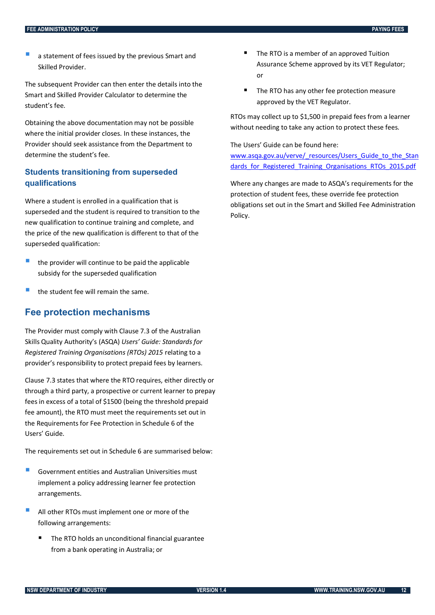a statement of fees issued by the previous Smart and Skilled Provider.

The subsequent Provider can then enter the details into the Smart and Skilled Provider Calculator to determine the student's fee.

Obtaining the above documentation may not be possible where the initial provider closes. In these instances, the Provider should seek assistance from the Department to determine the student's fee.

#### **Students transitioning from superseded qualifications**

Where a student is enrolled in a qualification that is superseded and the student is required to transition to the new qualification to continue training and complete, and the price of the new qualification is different to that of the superseded qualification:

- the provider will continue to be paid the applicable subsidy for the superseded qualification
- the student fee will remain the same.

#### <span id="page-15-0"></span>**Fee protection mechanisms**

The Provider must comply with Clause 7.3 of the Australian Skills Quality Authority's (ASQA) *Users' Guide: Standards for Registered Training Organisations (RTOs) 2015* relating to a provider's responsibility to protect prepaid fees by learners.

Clause 7.3 states that where the RTO requires, either directly or through a third party, a prospective or current learner to prepay fees in excess of a total of \$1500 (being the threshold prepaid fee amount), the RTO must meet the requirements set out in the Requirements for Fee Protection in Schedule 6 of the Users' Guide.

The requirements set out in Schedule 6 are summarised below:

- Government entities and Australian Universities must implement a policy addressing learner fee protection arrangements.
- All other RTOs must implement one or more of the following arrangements:
	- The RTO holds an unconditional financial guarantee from a bank operating in Australia; or
- The RTO is a member of an approved Tuition Assurance Scheme approved by its VET Regulator; or
- The RTO has any other fee protection measure approved by the VET Regulator.

RTOs may collect up to \$1,500 in prepaid fees from a learner without needing to take any action to protect these fees.

The Users' Guide can be found here:

[www.asqa.gov.au/verve/\\_resources/Users\\_Guide\\_to\\_the\\_Stan](http://www.asqa.gov.au/verve/_resources/Users_Guide_to_the_Standards_for_Registered_Training_Organisations_RTOs_2015.pdf) [dards\\_for\\_Registered\\_Training\\_Organisations\\_RTOs\\_2015.pdf](http://www.asqa.gov.au/verve/_resources/Users_Guide_to_the_Standards_for_Registered_Training_Organisations_RTOs_2015.pdf)

Where any changes are made to ASQA's requirements for the protection of student fees, these override fee protection obligations set out in the Smart and Skilled Fee Administration Policy.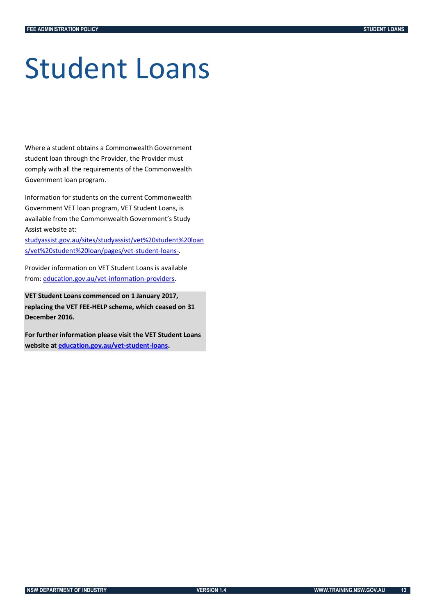## <span id="page-16-0"></span>Student Loans

Where a student obtains a Commonwealth Government student loan through the Provider, the Provider must comply with all the requirements of the Commonwealth Government loan program.

Information for students on the current Commonwealth Government VET loan program, VET Student Loans, is available from the Commonwealth Government's Study Assist website at:

[studyassist.gov.au/sites/studyassist/vet%20student%20loan](http://studyassist.gov.au/sites/studyassist/vet%20student%20loans/vet%20student%20loan/pages/vet-student-loans-) [s/vet%20student%20loan/pages/vet-student-loans-.](http://studyassist.gov.au/sites/studyassist/vet%20student%20loans/vet%20student%20loan/pages/vet-student-loans-)

Provider information on VET Student Loans is available from: [education.gov.au/vet-information-providers.](https://www.education.gov.au/vet-information-providers)

**VET Student Loans commenced on 1 January 2017, replacing the VET FEE-HELP scheme, which ceased on 31 December 2016.**

**For further information please visit the VET Student Loans website a[t education.gov.au/vet-student-loans.](https://www.education.gov.au/vet-student-loans)**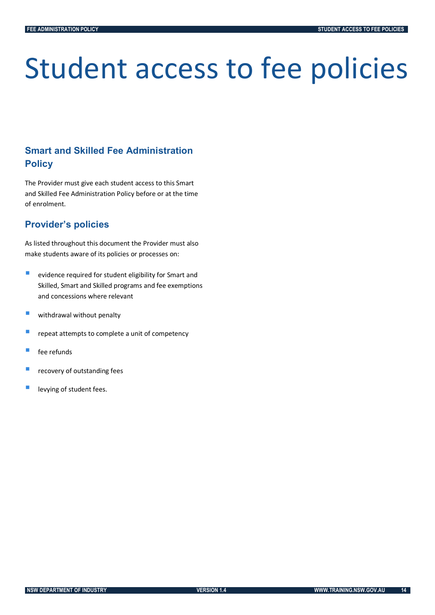## <span id="page-17-0"></span>Student access to fee policies

## <span id="page-17-1"></span>**Smart and Skilled Fee Administration Policy**

The Provider must give each student access to this Smart and Skilled Fee Administration Policy before or at the time of enrolment.

## <span id="page-17-2"></span>**Provider's policies**

As listed throughout this document the Provider must also make students aware of its policies or processes on:

- **E** evidence required for student eligibility for Smart and Skilled, Smart and Skilled programs and fee exemptions and concessions where relevant
- **Withdrawal without penalty**
- **P** repeat attempts to complete a unit of competency
- fee refunds
- recovery of outstanding fees
- levying of student fees.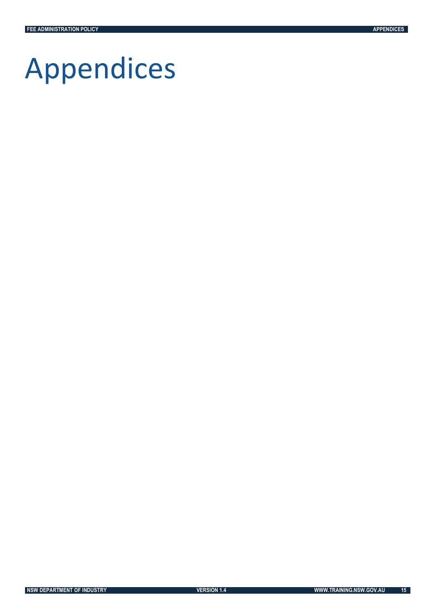## <span id="page-18-0"></span>Appendices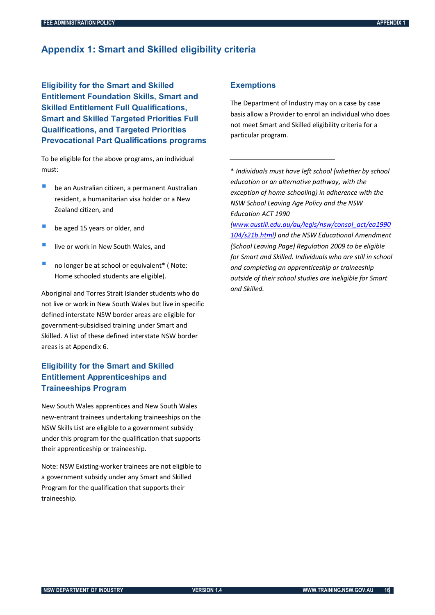## <span id="page-19-0"></span>**Appendix 1: Smart and Skilled eligibility criteria**

**Eligibility for the Smart and Skilled Entitlement Foundation Skills, Smart and Skilled Entitlement Full Qualifications, Smart and Skilled Targeted Priorities Full Qualifications, and Targeted Priorities Prevocational Part Qualifications programs** 

To be eligible for the above programs, an individual must:

- **be an Australian citizen, a permanent Australian** resident, a humanitarian visa holder or a New Zealand citizen, and
- be aged 15 years or older, and
- $\blacksquare$  live or work in New South Wales, and
- no longer be at school or equivalent<sup>\*</sup> ( Note: Home schooled students are eligible).

Aboriginal and Torres Strait Islander students who do not live or work in New South Wales but live in specific defined interstate NSW border areas are eligible for government-subsidised training under Smart and Skilled. A list of these defined interstate NSW border areas is at Appendix 6.

## **Eligibility for the Smart and Skilled Entitlement Apprenticeships and Traineeships Program**

New South Wales apprentices and New South Wales new-entrant trainees undertaking traineeships on the NSW Skills List are eligible to a government subsidy under this program for the qualification that supports their apprenticeship or traineeship.

Note: NSW Existing-worker trainees are not eligible to a government subsidy under any Smart and Skilled Program for the qualification that supports their traineeship.

#### **Exemptions**

The Department of Industry may on a case by case basis allow a Provider to enrol an individual who does not meet Smart and Skilled eligibility criteria for a particular program.

\* *Individuals must have left school (whether by school education or an alternative pathway, with the exception of home-schooling) in adherence with the NSW School Leaving Age Policy and the NSW Education ACT 1990*

*[\(www.austlii.edu.au/au/legis/nsw/consol\\_act/ea1990](http://www.austlii.edu.au/au/legis/nsw/consol_act/ea1990104/s21b.html) [104/s21b.html\)](http://www.austlii.edu.au/au/legis/nsw/consol_act/ea1990104/s21b.html) and the NSW Educational Amendment (School Leaving Page) Regulation 2009 to be eligible for Smart and Skilled. Individuals who are still in school and completing an apprenticeship or traineeship outside of their school studies are ineligible for Smart and Skilled.*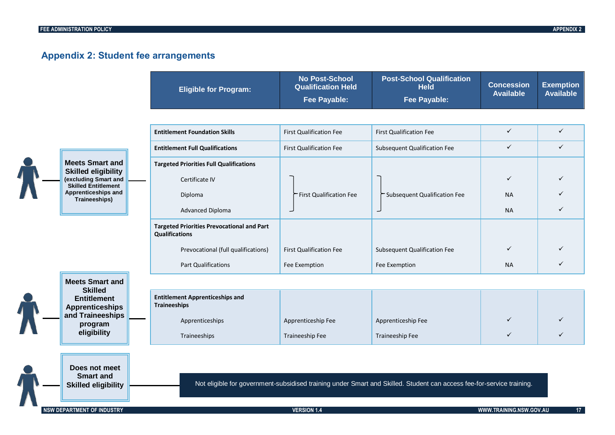## **Appendix 2: Student fee arrangements**

| <b>Eligible for Program:</b> | <b>No Post-School</b><br><b>Qualification Held</b> | <b>Post-School Qualification</b><br>Held | <b>Concession Exemption</b><br><b>Available</b> | Available |
|------------------------------|----------------------------------------------------|------------------------------------------|-------------------------------------------------|-----------|
|                              | Fee Pavable:                                       | Fee Payable:                             |                                                 |           |



|                                                      | <b>Entitlement Foundation Skills</b>                                       | <b>First Qualification Fee</b> | <b>First Qualification Fee</b> |           | ✓            |
|------------------------------------------------------|----------------------------------------------------------------------------|--------------------------------|--------------------------------|-----------|--------------|
|                                                      | <b>Entitlement Full Qualifications</b>                                     | <b>First Qualification Fee</b> | Subsequent Qualification Fee   | ✓         | $\checkmark$ |
| <b>Meets Smart and</b><br><b>Skilled eligibility</b> | <b>Targeted Priorities Full Qualifications</b>                             |                                |                                |           |              |
| (excluding Smart and<br><b>Skilled Entitlement</b>   | Certificate IV                                                             |                                |                                | ✓         | $\checkmark$ |
| Apprenticeships and<br>Traineeships)                 | Diploma                                                                    | First Qualification Fee        | - Subsequent Qualification Fee | <b>NA</b> | $\checkmark$ |
|                                                      | Advanced Diploma                                                           |                                |                                | <b>NA</b> | ✓            |
|                                                      | <b>Targeted Priorities Prevocational and Part</b><br><b>Qualifications</b> |                                |                                |           |              |
|                                                      | Prevocational (full qualifications)                                        | <b>First Qualification Fee</b> | Subsequent Qualification Fee   | ✓         | $\checkmark$ |
|                                                      | <b>Part Qualifications</b>                                                 | Fee Exemption                  | Fee Exemption                  | <b>NA</b> | $\checkmark$ |
| <b>Meets Smart and</b>                               |                                                                            |                                |                                |           |              |
| <b>Skilled</b><br>المحامد والمقاربين                 | <b>Entitlement Annrenticeching and</b>                                     |                                |                                |           |              |

<span id="page-20-0"></span>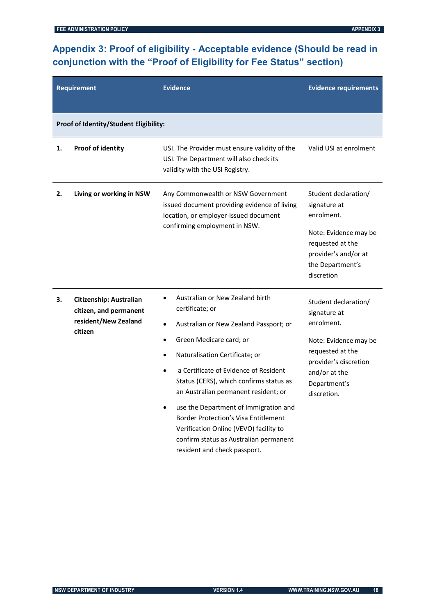## <span id="page-21-0"></span>**Appendix 3: Proof of eligibility - Acceptable evidence (Should be read in conjunction with the "Proof of Eligibility for Fee Status" section)**

|    | <b>Requirement</b>                                                                   | <b>Evidence</b>                                                                                                                                                                                                                                                                                                                                                                                                                                                                                                                  | <b>Evidence requirements</b>                                                                                                                                             |
|----|--------------------------------------------------------------------------------------|----------------------------------------------------------------------------------------------------------------------------------------------------------------------------------------------------------------------------------------------------------------------------------------------------------------------------------------------------------------------------------------------------------------------------------------------------------------------------------------------------------------------------------|--------------------------------------------------------------------------------------------------------------------------------------------------------------------------|
|    | Proof of Identity/Student Eligibility:                                               |                                                                                                                                                                                                                                                                                                                                                                                                                                                                                                                                  |                                                                                                                                                                          |
| 1. | Proof of identity                                                                    | USI. The Provider must ensure validity of the<br>USI. The Department will also check its<br>validity with the USI Registry.                                                                                                                                                                                                                                                                                                                                                                                                      | Valid USI at enrolment                                                                                                                                                   |
| 2. | Living or working in NSW                                                             | Any Commonwealth or NSW Government<br>issued document providing evidence of living<br>location, or employer-issued document<br>confirming employment in NSW.                                                                                                                                                                                                                                                                                                                                                                     | Student declaration/<br>signature at<br>enrolment.<br>Note: Evidence may be<br>requested at the<br>provider's and/or at<br>the Department's<br>discretion                |
| З. | Citizenship: Australian<br>citizen, and permanent<br>resident/New Zealand<br>citizen | Australian or New Zealand birth<br>$\bullet$<br>certificate; or<br>Australian or New Zealand Passport; or<br>$\bullet$<br>Green Medicare card; or<br>٠<br>Naturalisation Certificate; or<br>a Certificate of Evidence of Resident<br>Status (CERS), which confirms status as<br>an Australian permanent resident; or<br>use the Department of Immigration and<br><b>Border Protection's Visa Entitlement</b><br>Verification Online (VEVO) facility to<br>confirm status as Australian permanent<br>resident and check passport. | Student declaration/<br>signature at<br>enrolment.<br>Note: Evidence may be<br>requested at the<br>provider's discretion<br>and/or at the<br>Department's<br>discretion. |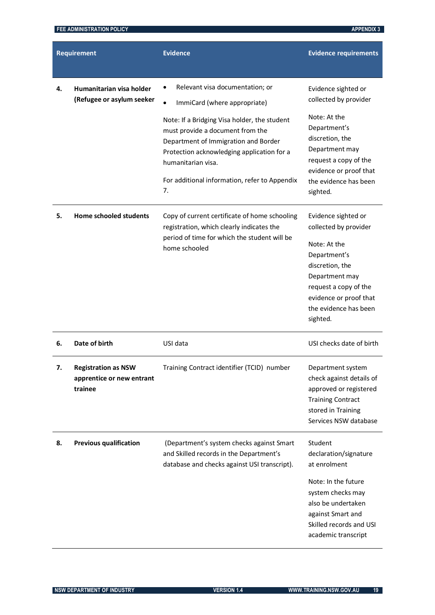|    | <b>Requirement</b>                                                 | <b>Evidence</b>                                                                                                                                                                                                                                                                                                        | <b>Evidence requirements</b>                                                                                                                                                                              |
|----|--------------------------------------------------------------------|------------------------------------------------------------------------------------------------------------------------------------------------------------------------------------------------------------------------------------------------------------------------------------------------------------------------|-----------------------------------------------------------------------------------------------------------------------------------------------------------------------------------------------------------|
| 4. | Humanitarian visa holder<br>(Refugee or asylum seeker              | Relevant visa documentation; or<br>ImmiCard (where appropriate)<br>Note: If a Bridging Visa holder, the student<br>must provide a document from the<br>Department of Immigration and Border<br>Protection acknowledging application for a<br>humanitarian visa.<br>For additional information, refer to Appendix<br>7. | Evidence sighted or<br>collected by provider<br>Note: At the<br>Department's<br>discretion, the<br>Department may<br>request a copy of the<br>evidence or proof that<br>the evidence has been<br>sighted. |
| 5. | Home schooled students                                             | Copy of current certificate of home schooling<br>registration, which clearly indicates the<br>period of time for which the student will be<br>home schooled                                                                                                                                                            | Evidence sighted or<br>collected by provider<br>Note: At the<br>Department's<br>discretion, the<br>Department may<br>request a copy of the<br>evidence or proof that<br>the evidence has been<br>sighted. |
| 6. | Date of birth                                                      | USI data                                                                                                                                                                                                                                                                                                               | USI checks date of birth                                                                                                                                                                                  |
|    | <b>Registration as NSW</b><br>apprentice or new entrant<br>trainee | Training Contract identifier (TCID) number                                                                                                                                                                                                                                                                             | Department system<br>check against details of<br>approved or registered<br><b>Training Contract</b><br>stored in Training<br>Services NSW database                                                        |
| 8. | <b>Previous qualification</b>                                      | (Department's system checks against Smart<br>and Skilled records in the Department's<br>database and checks against USI transcript).                                                                                                                                                                                   | Student<br>declaration/signature<br>at enrolment<br>Note: In the future<br>system checks may<br>also be undertaken<br>against Smart and<br>Skilled records and USI<br>academic transcript                 |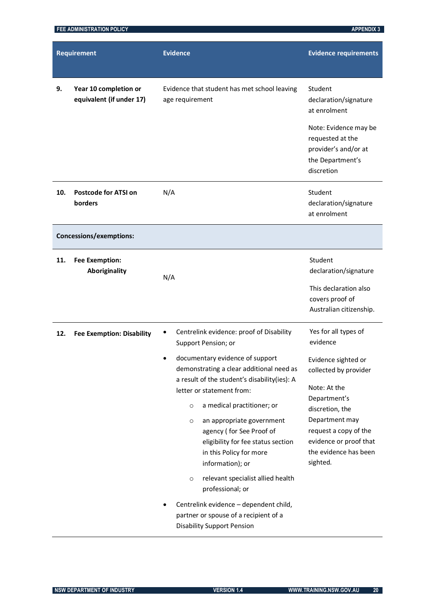|     | Requirement                                       | <b>Evidence</b>                                                                                                                                                                                                                                                                                                                                                                                                                                                                                                                                                                      | <b>Evidence requirements</b>                                                                                                                                                                                                                  |
|-----|---------------------------------------------------|--------------------------------------------------------------------------------------------------------------------------------------------------------------------------------------------------------------------------------------------------------------------------------------------------------------------------------------------------------------------------------------------------------------------------------------------------------------------------------------------------------------------------------------------------------------------------------------|-----------------------------------------------------------------------------------------------------------------------------------------------------------------------------------------------------------------------------------------------|
| 9.  | Year 10 completion or<br>equivalent (if under 17) | Evidence that student has met school leaving<br>age requirement                                                                                                                                                                                                                                                                                                                                                                                                                                                                                                                      | Student<br>declaration/signature<br>at enrolment                                                                                                                                                                                              |
|     |                                                   |                                                                                                                                                                                                                                                                                                                                                                                                                                                                                                                                                                                      | Note: Evidence may be<br>requested at the<br>provider's and/or at<br>the Department's<br>discretion                                                                                                                                           |
| 10. | <b>Postcode for ATSI on</b><br>borders            | N/A                                                                                                                                                                                                                                                                                                                                                                                                                                                                                                                                                                                  | Student<br>declaration/signature<br>at enrolment                                                                                                                                                                                              |
|     | <b>Concessions/exemptions:</b>                    |                                                                                                                                                                                                                                                                                                                                                                                                                                                                                                                                                                                      |                                                                                                                                                                                                                                               |
| 11. | <b>Fee Exemption:</b><br>Aboriginality            | N/A                                                                                                                                                                                                                                                                                                                                                                                                                                                                                                                                                                                  | Student<br>declaration/signature<br>This declaration also<br>covers proof of<br>Australian citizenship.                                                                                                                                       |
| 12. | <b>Fee Exemption: Disability</b>                  | Centrelink evidence: proof of Disability<br>Support Pension; or<br>documentary evidence of support<br>demonstrating a clear additional need as<br>a result of the student's disability(ies): A<br>letter or statement from:<br>a medical practitioner; or<br>$\circ$<br>an appropriate government<br>$\circ$<br>agency (for See Proof of<br>eligibility for fee status section<br>in this Policy for more<br>information); or<br>relevant specialist allied health<br>$\circ$<br>professional; or<br>Centrelink evidence - dependent child,<br>partner or spouse of a recipient of a | Yes for all types of<br>evidence<br>Evidence sighted or<br>collected by provider<br>Note: At the<br>Department's<br>discretion, the<br>Department may<br>request a copy of the<br>evidence or proof that<br>the evidence has been<br>sighted. |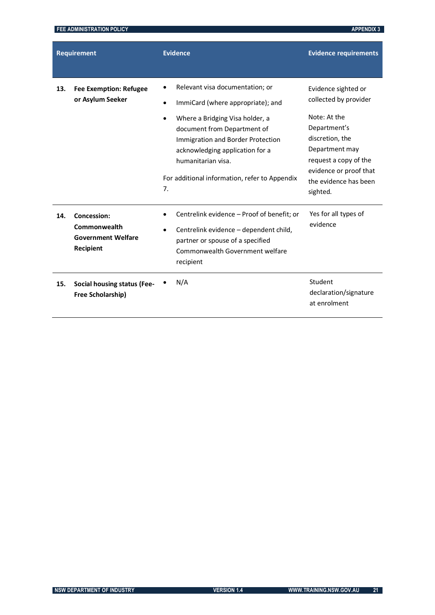|     | <b>Requirement</b>                                                                  | <b>Evidence</b>                                                                                                                                                                                                                                                                             | <b>Evidence requirements</b>                                                                                                                                                                              |
|-----|-------------------------------------------------------------------------------------|---------------------------------------------------------------------------------------------------------------------------------------------------------------------------------------------------------------------------------------------------------------------------------------------|-----------------------------------------------------------------------------------------------------------------------------------------------------------------------------------------------------------|
| 13. | <b>Fee Exemption: Refugee</b><br>or Asylum Seeker                                   | Relevant visa documentation; or<br>ImmiCard (where appropriate); and<br>Where a Bridging Visa holder, a<br>document from Department of<br>Immigration and Border Protection<br>acknowledging application for a<br>humanitarian visa.<br>For additional information, refer to Appendix<br>7. | Evidence sighted or<br>collected by provider<br>Note: At the<br>Department's<br>discretion, the<br>Department may<br>request a copy of the<br>evidence or proof that<br>the evidence has been<br>sighted. |
| 14. | <b>Concession:</b><br>Commonwealth<br><b>Government Welfare</b><br><b>Recipient</b> | Centrelink evidence - Proof of benefit; or<br>Centrelink evidence - dependent child,<br>partner or spouse of a specified<br>Commonwealth Government welfare<br>recipient                                                                                                                    | Yes for all types of<br>evidence                                                                                                                                                                          |
| 15. | <b>Social housing status (Fee-</b><br>Free Scholarship)                             | N/A                                                                                                                                                                                                                                                                                         | Student<br>declaration/signature<br>at enrolment                                                                                                                                                          |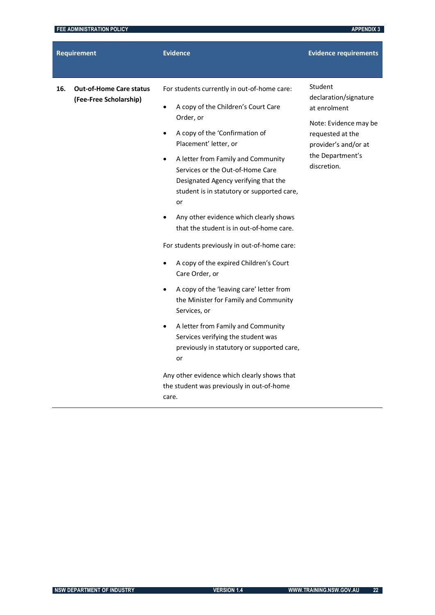|     | <b>Requirement</b>                                       | <b>Evidence</b>                                                                                                                                                                                                                                                                                                                                                                                                                                                                                                                                                                                                                                                                                                                                                                                                                                                                                                     | <b>Evidence requirements</b>                                                                                                                             |
|-----|----------------------------------------------------------|---------------------------------------------------------------------------------------------------------------------------------------------------------------------------------------------------------------------------------------------------------------------------------------------------------------------------------------------------------------------------------------------------------------------------------------------------------------------------------------------------------------------------------------------------------------------------------------------------------------------------------------------------------------------------------------------------------------------------------------------------------------------------------------------------------------------------------------------------------------------------------------------------------------------|----------------------------------------------------------------------------------------------------------------------------------------------------------|
| 16. | <b>Out-of-Home Care status</b><br>(Fee-Free Scholarship) | For students currently in out-of-home care:<br>A copy of the Children's Court Care<br>$\bullet$<br>Order, or<br>A copy of the 'Confirmation of<br>Placement' letter, or<br>A letter from Family and Community<br>$\bullet$<br>Services or the Out-of-Home Care<br>Designated Agency verifying that the<br>student is in statutory or supported care,<br>or<br>Any other evidence which clearly shows<br>that the student is in out-of-home care.<br>For students previously in out-of-home care:<br>A copy of the expired Children's Court<br>Care Order, or<br>A copy of the 'leaving care' letter from<br>$\bullet$<br>the Minister for Family and Community<br>Services, or<br>A letter from Family and Community<br>Services verifying the student was<br>previously in statutory or supported care,<br>or<br>Any other evidence which clearly shows that<br>the student was previously in out-of-home<br>care. | Student<br>declaration/signature<br>at enrolment<br>Note: Evidence may be<br>requested at the<br>provider's and/or at<br>the Department's<br>discretion. |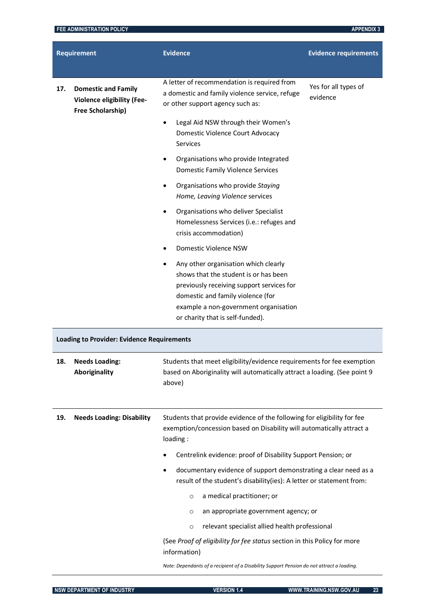|                                                   | <b>Requirement</b>                                                            | <b>Evidence</b>                                                                                                                                                                                                                              | <b>Evidence requirements</b>     |
|---------------------------------------------------|-------------------------------------------------------------------------------|----------------------------------------------------------------------------------------------------------------------------------------------------------------------------------------------------------------------------------------------|----------------------------------|
| 17.                                               | <b>Domestic and Family</b><br>Violence eligibility (Fee-<br>Free Scholarship) | A letter of recommendation is required from<br>a domestic and family violence service, refuge<br>or other support agency such as:                                                                                                            | Yes for all types of<br>evidence |
|                                                   |                                                                               | Legal Aid NSW through their Women's<br>Domestic Violence Court Advocacy<br>Services                                                                                                                                                          |                                  |
|                                                   |                                                                               | Organisations who provide Integrated<br><b>Domestic Family Violence Services</b>                                                                                                                                                             |                                  |
|                                                   |                                                                               | Organisations who provide Staying<br>Home, Leaving Violence services                                                                                                                                                                         |                                  |
|                                                   |                                                                               | Organisations who deliver Specialist<br>Homelessness Services (i.e.: refuges and<br>crisis accommodation)                                                                                                                                    |                                  |
|                                                   |                                                                               | Domestic Violence NSW                                                                                                                                                                                                                        |                                  |
|                                                   |                                                                               | Any other organisation which clearly<br>shows that the student is or has been<br>previously receiving support services for<br>domestic and family violence (for<br>example a non-government organisation<br>or charity that is self-funded). |                                  |
| <b>Loading to Provider: Evidence Requirements</b> |                                                                               |                                                                                                                                                                                                                                              |                                  |
| 18.                                               | <b>Needs Loading:</b><br><b>Aboriginality</b>                                 | Students that meet eligibility/evidence requirements for fee exemption<br>based on Aboriginality will automatically attract a loading. (See point 9<br>above)                                                                                |                                  |
| 19.                                               | <b>Needs Loading: Disability</b>                                              | Students that provide evidence of the following for eligibility for fee<br>exemption/concession based on Disability will automatically attract a<br>loading:                                                                                 |                                  |
|                                                   |                                                                               | Centrelink evidence: proof of Disability Support Pension; or                                                                                                                                                                                 |                                  |
|                                                   |                                                                               | documentary evidence of support demonstrating a clear need as a<br>٠<br>result of the student's disability(ies): A letter or statement from:                                                                                                 |                                  |
|                                                   |                                                                               | a medical practitioner; or<br>$\circ$                                                                                                                                                                                                        |                                  |
|                                                   |                                                                               | an appropriate government agency; or<br>$\circ$                                                                                                                                                                                              |                                  |
|                                                   |                                                                               | relevant specialist allied health professional<br>$\circ$                                                                                                                                                                                    |                                  |
|                                                   |                                                                               | (See Proof of eligibility for fee status section in this Policy for more<br>information)                                                                                                                                                     |                                  |

*Note: Dependants of a recipient of a Disability Support Pension do not attract a loading.*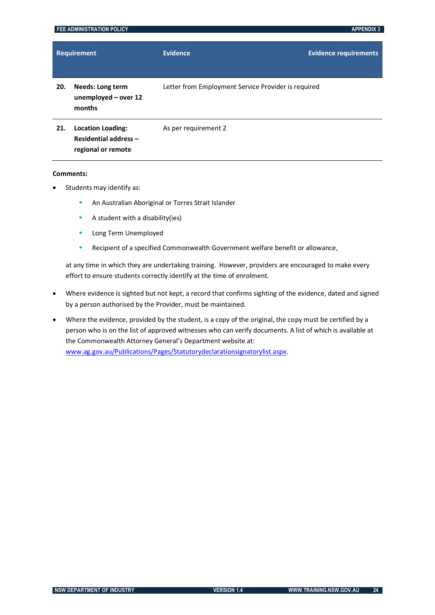|     | <b>FEE ADMINISTRATION POLICY</b>                                        |                                                     | <b>APPENDIX 3</b>            |
|-----|-------------------------------------------------------------------------|-----------------------------------------------------|------------------------------|
|     | Requirement                                                             | <b>Evidence</b>                                     | <b>Evidence requirements</b> |
| 20. | <b>Needs: Long term</b><br>unemployed - over 12<br>months               | Letter from Employment Service Provider is required |                              |
| 21. | <b>Location Loading:</b><br>Residential address -<br>regional or remote | As per requirement 2                                |                              |

#### **Comments:**

- Students may identify as:
	- **An Australian Aboriginal or Torres Strait Islander**
	- $\blacksquare$  A student with a disability(ies)
	- **Long Term Unemployed**
	- **Recipient of a specified Commonwealth Government welfare benefit or allowance,**

at any time in which they are undertaking training. However, providers are encouraged to make every effort to ensure students correctly identify at the time of enrolment.

- Where evidence is sighted but not kept, a record that confirms sighting of the evidence, dated and signed by a person authorised by the Provider, must be maintained.
- Where the evidence, provided by the student, is a copy of the original, the copy must be certified by a person who is on the list of approved witnesses who can verify documents. A list of which is available at the Commonwealth Attorney General's Department website at: [www.ag.gov.au/Publications/Pages/Statutorydeclarationsignatorylist.aspx.](http://www.ag.gov.au/Publications/Pages/Statutorydeclarationsignatorylist.aspx)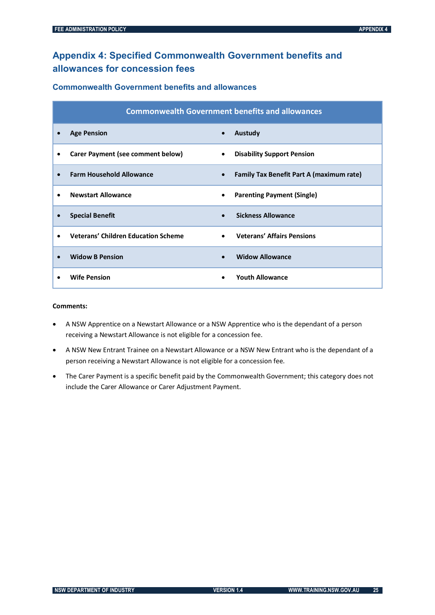## <span id="page-28-0"></span>**Appendix 4: Specified Commonwealth Government benefits and allowances for concession fees**

| <b>Commonwealth Government benefits and allowances</b> |                                                 |  |
|--------------------------------------------------------|-------------------------------------------------|--|
| <b>Age Pension</b>                                     | Austudy                                         |  |
| $\bullet$                                              | $\bullet$                                       |  |
| Carer Payment (see comment below)                      | <b>Disability Support Pension</b>               |  |
| $\bullet$                                              | $\bullet$                                       |  |
| <b>Farm Household Allowance</b>                        | <b>Family Tax Benefit Part A (maximum rate)</b> |  |
| $\bullet$                                              | $\bullet$                                       |  |
| <b>Newstart Allowance</b>                              | <b>Parenting Payment (Single)</b>               |  |
| ٠                                                      | $\bullet$                                       |  |
| <b>Special Benefit</b>                                 | <b>Sickness Allowance</b>                       |  |
| $\bullet$                                              | $\bullet$                                       |  |
| <b>Veterans' Children Education Scheme</b>             | <b>Veterans' Affairs Pensions</b>               |  |
| $\bullet$                                              | $\bullet$                                       |  |
| <b>Widow B Pension</b>                                 | <b>Widow Allowance</b>                          |  |
| $\bullet$                                              | $\bullet$                                       |  |
| <b>Wife Pension</b>                                    | <b>Youth Allowance</b>                          |  |

#### **Commonwealth Government benefits and allowances**

#### **Comments:**

- A NSW Apprentice on a Newstart Allowance or a NSW Apprentice who is the dependant of a person receiving a Newstart Allowance is not eligible for a concession fee.
- A NSW New Entrant Trainee on a Newstart Allowance or a NSW New Entrant who is the dependant of a person receiving a Newstart Allowance is not eligible for a concession fee.
- The Carer Payment is a specific benefit paid by the Commonwealth Government; this category does not include the Carer Allowance or Carer Adjustment Payment.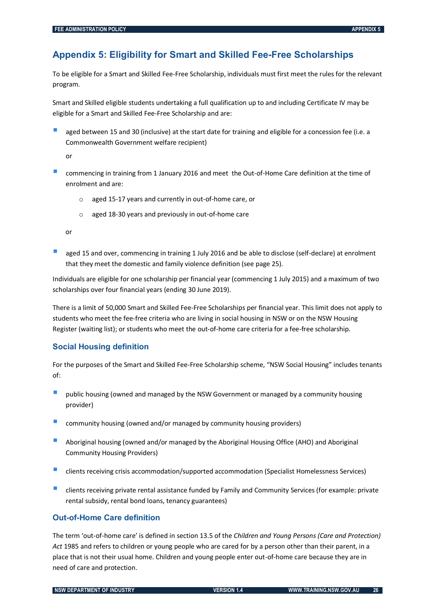## <span id="page-29-0"></span>**Appendix 5: Eligibility for Smart and Skilled Fee-Free Scholarships**

To be eligible for a Smart and Skilled Fee-Free Scholarship, individuals must first meet the rules for the relevant program.

Smart and Skilled eligible students undertaking a full qualification up to and including Certificate IV may be eligible for a Smart and Skilled Fee-Free Scholarship and are:

 aged between 15 and 30 (inclusive) at the start date for training and eligible for a concession fee (i.e. <sup>a</sup> Commonwealth Government welfare recipient)

or

- commencing in training from 1 January 2016 and meet the Out-of-Home Care definition at the time of enrolment and are:
	- o aged 15-17 years and currently in out-of-home care, or
	- o aged 18-30 years and previously in out-of-home care

or

 aged 15 and over, commencing in training 1 July 2016 and be able to disclose (self-declare) at enrolment that they meet the domestic and family violence definition (see page 25).

Individuals are eligible for one scholarship per financial year (commencing 1 July 2015) and a maximum of two scholarships over four financial years (ending 30 June 2019).

There is a limit of 50,000 Smart and Skilled Fee-Free Scholarships per financial year. This limit does not apply to students who meet the fee-free criteria who are living in social housing in NSW or on the NSW Housing Register (waiting list); or students who meet the out-of-home care criteria for a fee-free scholarship.

#### **Social Housing definition**

For the purposes of the Smart and Skilled Fee-Free Scholarship scheme, "NSW Social Housing" includes tenants of:

- **P** public housing (owned and managed by the NSW Government or managed by a community housing provider)
- community housing (owned and/or managed by community housing providers)
- Aboriginal housing (owned and/or managed by the Aboriginal Housing Office (AHO) and Aboriginal Community Housing Providers)
- clients receiving crisis accommodation/supported accommodation (Specialist Homelessness Services)
- clients receiving private rental assistance funded by Family and Community Services (for example: private rental subsidy, rental bond loans, tenancy guarantees)

#### **Out-of-Home Care definition**

The term 'out-of-home care' is defined in section 13.5 of the *Children and Young Persons (Care and Protection) Act* 1985 and refers to children or young people who are cared for by a person other than their parent, in a place that is not their usual home. Children and young people enter out-of-home care because they are in need of care and protection.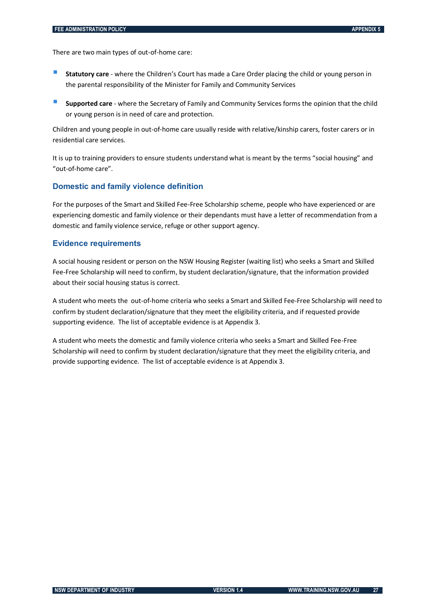There are two main types of out-of-home care:

- **Statutory care** where the Children's Court has made a Care Order placing the child or young person in the parental responsibility of the Minister for Family and Community Services
- **Supported care** where the Secretary of Family and Community Services forms the opinion that the child or young person is in need of care and protection.

Children and young people in out-of-home care usually reside with relative/kinship carers, foster carers or in residential care services.

It is up to training providers to ensure students understand what is meant by the terms "social housing" and "out-of-home care".

#### **Domestic and family violence definition**

For the purposes of the Smart and Skilled Fee-Free Scholarship scheme, people who have experienced or are experiencing domestic and family violence or their dependants must have a letter of recommendation from a domestic and family violence service, refuge or other support agency.

#### **Evidence requirements**

A social housing resident or person on the NSW Housing Register (waiting list) who seeks a Smart and Skilled Fee-Free Scholarship will need to confirm, by student declaration/signature, that the information provided about their social housing status is correct.

A student who meets the out-of-home criteria who seeks a Smart and Skilled Fee-Free Scholarship will need to confirm by student declaration/signature that they meet the eligibility criteria, and if requested provide supporting evidence. The list of acceptable evidence is at Appendix 3.

A student who meets the domestic and family violence criteria who seeks a Smart and Skilled Fee-Free Scholarship will need to confirm by student declaration/signature that they meet the eligibility criteria, and provide supporting evidence. The list of acceptable evidence is at Appendix 3.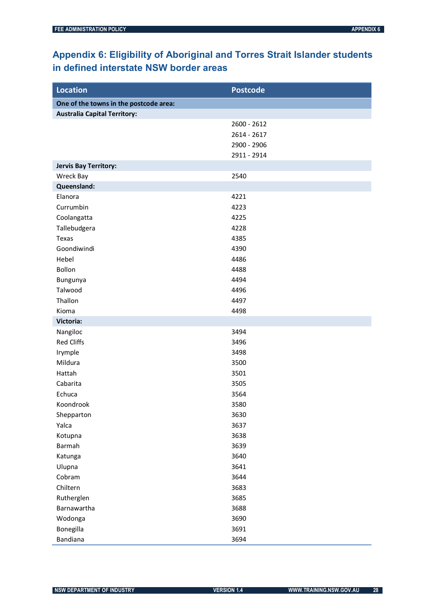## <span id="page-31-0"></span>**Appendix 6: Eligibility of Aboriginal and Torres Strait Islander students in defined interstate NSW border areas**

| <b>Location</b>                        | <b>Postcode</b> |
|----------------------------------------|-----------------|
| One of the towns in the postcode area: |                 |
| <b>Australia Capital Territory:</b>    |                 |
|                                        | 2600 - 2612     |
|                                        | 2614 - 2617     |
|                                        | 2900 - 2906     |
|                                        | 2911 - 2914     |
| <b>Jervis Bay Territory:</b>           |                 |
| Wreck Bay                              | 2540            |
| Queensland:                            |                 |
| Elanora                                | 4221            |
| Currumbin                              | 4223            |
| Coolangatta                            | 4225            |
| Tallebudgera                           | 4228            |
| Texas                                  | 4385            |
| Goondiwindi                            | 4390            |
| Hebel                                  | 4486            |
| Bollon                                 | 4488            |
| Bungunya                               | 4494            |
| Talwood                                | 4496            |
| Thallon                                | 4497            |
| Kioma                                  | 4498            |
| Victoria:                              |                 |
| Nangiloc                               | 3494            |
| <b>Red Cliffs</b>                      | 3496            |
| Irymple                                | 3498            |
| Mildura                                | 3500            |
| Hattah                                 | 3501            |
| Cabarita                               | 3505            |
| Echuca                                 | 3564            |
| Koondrook                              | 3580            |
| Shepparton                             | 3630            |
| Yalca                                  | 3637            |
| Kotupna                                | 3638            |
| Barmah                                 | 3639            |
| Katunga                                | 3640            |
| Ulupna                                 | 3641            |
| Cobram                                 | 3644            |
| Chiltern                               | 3683            |
| Rutherglen                             | 3685            |
| Barnawartha                            | 3688            |
| Wodonga                                | 3690            |
| Bonegilla                              | 3691            |
| Bandiana                               | 3694            |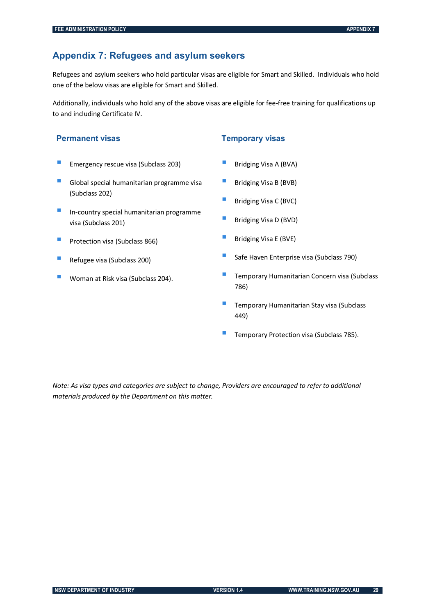## <span id="page-32-0"></span>**Appendix 7: Refugees and asylum seekers**

Refugees and asylum seekers who hold particular visas are eligible for Smart and Skilled. Individuals who hold one of the below visas are eligible for Smart and Skilled.

Additionally, individuals who hold any of the above visas are eligible for fee-free training for qualifications up to and including Certificate IV.

#### **Permanent visas <b>Temporary visas**

- Emergency rescue visa (Subclass 203)
- Global special humanitarian programme visa (Subclass 202)
- In-country special humanitarian programme visa (Subclass 201)
- Protection visa (Subclass 866)
- Refugee visa (Subclass 200)
- Woman at Risk visa (Subclass 204).

- **Bridging Visa A (BVA)**
- **Bridging Visa B (BVB)**
- **Bridging Visa C (BVC)**
- **Bridging Visa D (BVD)**
- **Bridging Visa E (BVE)**
- **Safe Haven Enterprise visa (Subclass 790)**
- Temporary Humanitarian Concern visa (Subclass 786)
- Temporary Humanitarian Stay visa (Subclass 449)
- Temporary Protection visa (Subclass 785).

*Note: As visa types and categories are subject to change, Providers are encouraged to refer to additional materials produced by the Department on this matter.*